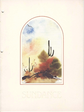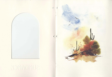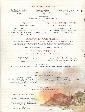## **TASTY BEGINNINGS**

**Garden Vegetables** Deep Fried In Beer Batter

\$2.95

**Shrimp Pacifica** Marinated Tiny Shrimp Oysters Two + Two + Two Casino, Bienville, Rockefeller

 $$5,50$ 

Mexamerica Nacho-Potato Skins with Cheese and Spices

\$4.75

\$2.95

### **SOUP**

# **SOUP-PASTA-SANDWICH**

**Today's Hot Soup** 

 $Cup-S.95$ Bowl-81.25 Soup-Today's Hot or Cold

Homemade Southwestern Chili With Beans, Longhorn Cheese, Diced Tomato and Onions

Bowl-\$3.25

Pasta-Casserole Tortellini

Sandwich-Chicken, Tuna or Shrimp Salad on a Freshly Baked Croissant

**S4.75** 

## **SUNDANCE FOOD MARKET**

Not Just Another Salad Bar. It's More Like a Market, Prepared by the Chef from a Selection of Seasonal Greens, Creamy Salads and Pastas, Julienne of Cold Meats and Cheeses. Pickled Vegetables, Sunflower Seeds, Raisins, Nuts, and a Bevy of Other Seasonal Delights.

Food Market-\$3.95

With Dinner-S1.75

# **THE TRADITIONALS**

Served with Pickled Vegetables and Fried Potatoes

B.L.T.T.O.T. Bacon, Lettuce, Tomato, Turkey on Toast \$3.95

**Beef American** On Sour Dough Bun, Thin Slices of Roast Beef. Grilled Onions and Melted American Cheese

\$4.75

Mozzarella-Cristo

Ham, Salami, Mozzarella Cheese Sandwich, Dipped in a Light Batter and Fried to a Golden Brown

**S4.25** 

### **BURGERS ELITE**

**Choice of Baked Beans or Fries** 

No Name Burger

Two Beefy Patties, Our Almost Famous Sauce, Some Lettuce, Blushing Red Tomatoes, Properly Aged Cheddar Cheese and Onions on a Sesame Seed Bun

\$4.50

**Happy Gringo** Beef Patty on a Bun, with Chili Peppers and Cheese, Finished with Diced Onion and Tomato.

\$3.95

**Plain and Simple** 

.... Or, If You Want Some Cheese, Just Say So

S<sub>2.95</sub>

### THE ULTIMATE DELI

Any Combination of Three-Roast Beef. Turkey Breast, Corned Beef, Pastrami, Baked Country Ham or Genoa Salami

Served on Kaiser Roll, Rye, Whole Wheat or White Bread with Potato Salad and **Crisp Fresh Vegetables** 

**S3.95** (P.S. No Charge for Cheese)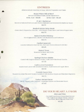### **ENTREES**

All Items Include Salad Bar or Soup, Selected Vegetable and Potato

Roast Prime Rib of Beef Served with Baked Potato and Its Natural Juice

8 Oz. Cut-S9.95 12 Oz. Cut-SII.25

P- & C-Barbecue Skewer of Selected Pork Loin and Chicken Marinated and Simmered in Barbecue Sauce

**S8.75** 

#### **Broiled Sirloin Strip Steak**

Choice Beef, Prepared as You Like-with Brandy Cream Sauce and Green Peppercorns

S<sub>12.75</sub>

**Baked Stuffed Shrimp** New England Style, Stuffed with Mushrooms and Crabmeat

S13.75

Paella Casserole Assorted Delicacies from the Sea, Beef and Chicken Blended with Rice **S8.25** 

> **Baked Trout** Seasoned in Butter and Herbs \$9.50

Spring Chicken Diable Coated with English Mustard, Parsley, Garlic and White Bread Crumbs

**S7.75** 

**Calf's Liver Forestiere** Sauteed and Laced with Smothered Onions, Mushrooms and Apple Slices

\$8.50

Cornish Game Hen Roasted on a Date Flavored Crouton Garnished with Seedless Grapes and Mandarin Segments

\$9.75

**Turkey Breast Oscar** Sliced, Topped with Crabmeat, Asparagus Spears and Bearnaise Sauce

\$7.95

## **DO YOUR HEART A FAVOR**

#### Slim and Trim

One-Half Pound Lean Ground Beef Served with Yoghurt or Cottage Cheese, Tomato, Cucumber, Sliced Egg and Fresh Fruit

\$5.25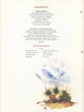# **DESSERTS**

#### **Sugar & Spice**

Deep Dish Apple Pie-\$1.75 Old Fashioned Banana Cake-S1.50 Marble Cheese Cake-\$2.50 Dutch Chocolate Cake-\$2,25 Napoleon-\$1.95 Nesselrode Pie-S1.75 Chocolate-Chocolate-\$2.25 Mousse in a Cup-S1.75

#### The Ole Ice Cream Sundae

Inspire Yourself, We'll Provide the Ice Cream. Chocolate, Vanilla or Strawberry, and You Select<br>the Toppings (as many as you like) Bittersweet Hot Fudge, Black Cherry Rum. Brandied Coffee, Raspberry Melba or Banana Nirvana To Be Covered with Burnt Almonds, Coconut Crunch, Chocolate Crisps, or Baby Marshmallows

\$2.65

# **BEVERAGES**

#### **S.75**

Selection of Teas **Constant Comment Plantation Mint** Darjeeling

Coffee & Decaffinated Milk or Non-Fat **Hot Chocolate Iced Tea**